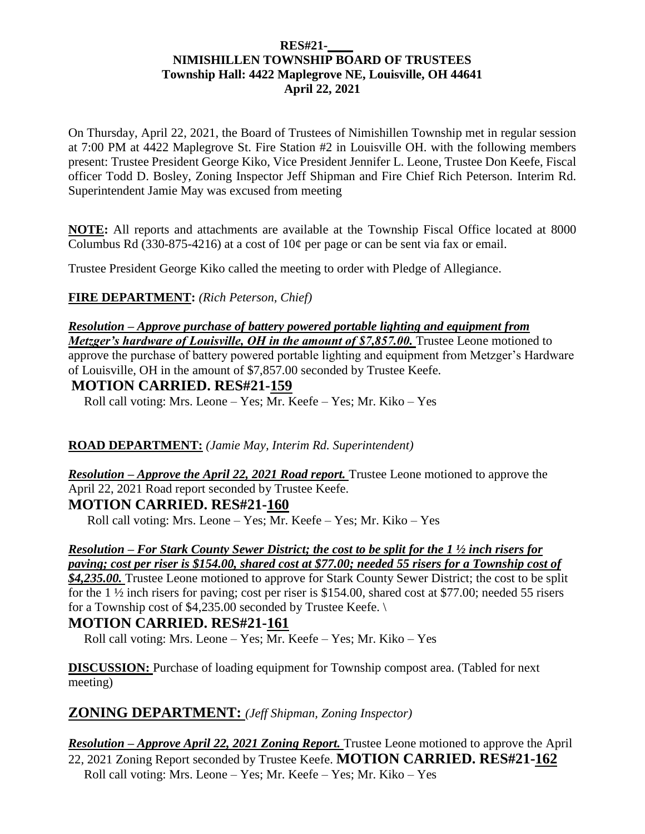#### **RES#21-\_\_\_\_ NIMISHILLEN TOWNSHIP BOARD OF TRUSTEES Township Hall: 4422 Maplegrove NE, Louisville, OH 44641 April 22, 2021**

On Thursday, April 22, 2021, the Board of Trustees of Nimishillen Township met in regular session at 7:00 PM at 4422 Maplegrove St. Fire Station #2 in Louisville OH. with the following members present: Trustee President George Kiko, Vice President Jennifer L. Leone, Trustee Don Keefe, Fiscal officer Todd D. Bosley, Zoning Inspector Jeff Shipman and Fire Chief Rich Peterson. Interim Rd. Superintendent Jamie May was excused from meeting

**NOTE:** All reports and attachments are available at the Township Fiscal Office located at 8000 Columbus Rd (330-875-4216) at a cost of  $10¢$  per page or can be sent via fax or email.

Trustee President George Kiko called the meeting to order with Pledge of Allegiance.

**FIRE DEPARTMENT:** *(Rich Peterson, Chief)*

# *Resolution – Approve purchase of battery powered portable lighting and equipment from*

*Metzger's hardware of Louisville, OH in the amount of \$7,857.00.* Trustee Leone motioned to approve the purchase of battery powered portable lighting and equipment from Metzger's Hardware of Louisville, OH in the amount of \$7,857.00 seconded by Trustee Keefe.

### **MOTION CARRIED. RES#21-159**

Roll call voting: Mrs. Leone – Yes; Mr. Keefe – Yes; Mr. Kiko – Yes

#### **ROAD DEPARTMENT:** *(Jamie May, Interim Rd. Superintendent)*

*Resolution – Approve the April 22, 2021 Road report.* Trustee Leone motioned to approve the April 22, 2021 Road report seconded by Trustee Keefe.

#### **MOTION CARRIED. RES#21-160**

Roll call voting: Mrs. Leone – Yes; Mr. Keefe – Yes; Mr. Kiko – Yes

#### *Resolution – For Stark County Sewer District; the cost to be split for the 1 ½ inch risers for paving; cost per riser is \$154.00, shared cost at \$77.00; needed 55 risers for a Township cost of*

*\$4,235.00.* Trustee Leone motioned to approve for Stark County Sewer District; the cost to be split for the 1  $\frac{1}{2}$  inch risers for paving; cost per riser is \$154.00, shared cost at \$77.00; needed 55 risers for a Township cost of \$4,235.00 seconded by Trustee Keefe. \

#### **MOTION CARRIED. RES#21-161**

Roll call voting: Mrs. Leone – Yes; Mr. Keefe – Yes; Mr. Kiko – Yes

**DISCUSSION:** Purchase of loading equipment for Township compost area. (Tabled for next) meeting)

## **ZONING DEPARTMENT:** *(Jeff Shipman, Zoning Inspector)*

#### *Resolution – Approve April 22, 2021 Zoning Report.* Trustee Leone motioned to approve the April 22, 2021 Zoning Report seconded by Trustee Keefe. **MOTION CARRIED. RES#21-162** Roll call voting: Mrs. Leone – Yes; Mr. Keefe – Yes; Mr. Kiko – Yes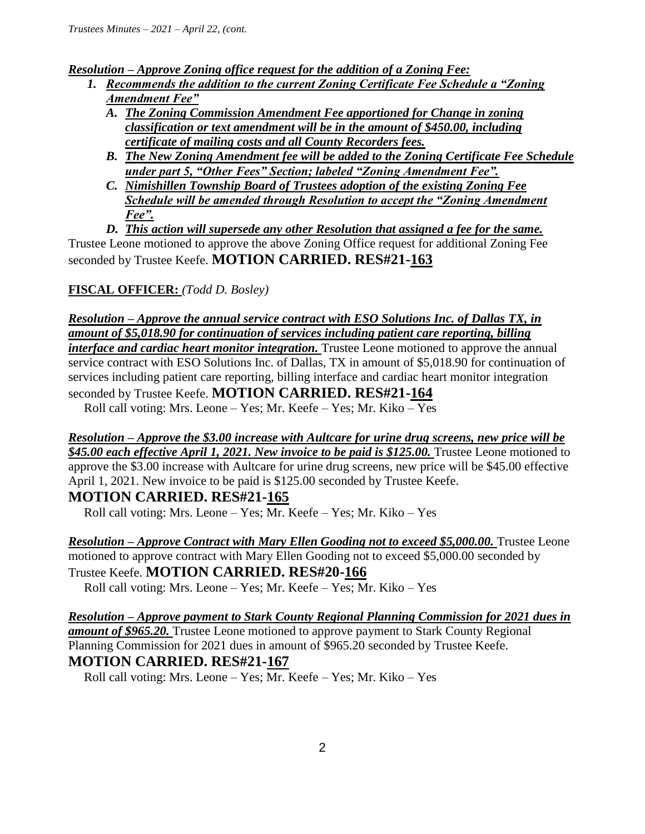*Resolution – Approve Zoning office request for the addition of a Zoning Fee:*

- *1. Recommends the addition to the current Zoning Certificate Fee Schedule a "Zoning Amendment Fee"*
	- *A. The Zoning Commission Amendment Fee apportioned for Change in zoning classification or text amendment will be in the amount of \$450.00, including certificate of mailing costs and all County Recorders fees.*
	- *B. The New Zoning Amendment fee will be added to the Zoning Certificate Fee Schedule under part 5, "Other Fees" Section; labeled "Zoning Amendment Fee".*
	- *C. Nimishillen Township Board of Trustees adoption of the existing Zoning Fee Schedule will be amended through Resolution to accept the "Zoning Amendment Fee".*

*D. This action will supersede any other Resolution that assigned a fee for the same.* 

Trustee Leone motioned to approve the above Zoning Office request for additional Zoning Fee seconded by Trustee Keefe. **MOTION CARRIED. RES#21-163**

# **FISCAL OFFICER:** *(Todd D. Bosley)*

*Resolution – Approve the annual service contract with ESO Solutions Inc. of Dallas TX, in amount of \$5,018.90 for continuation of services including patient care reporting, billing interface and cardiac heart monitor integration.* Trustee Leone motioned to approve the annual service contract with ESO Solutions Inc. of Dallas, TX in amount of \$5,018.90 for continuation of services including patient care reporting, billing interface and cardiac heart monitor integration seconded by Trustee Keefe. **MOTION CARRIED. RES#21-164**

Roll call voting: Mrs. Leone – Yes; Mr. Keefe – Yes; Mr. Kiko – Yes

#### *Resolution – Approve the \$3.00 increase with Aultcare for urine drug screens, new price will be \$45.00 each effective April 1, 2021. New invoice to be paid is \$125.00.* Trustee Leone motioned to approve the \$3.00 increase with Aultcare for urine drug screens, new price will be \$45.00 effective April 1, 2021. New invoice to be paid is \$125.00 seconded by Trustee Keefe.

## **MOTION CARRIED. RES#21-165**

Roll call voting: Mrs. Leone – Yes; Mr. Keefe – Yes; Mr. Kiko – Yes

*Resolution – Approve Contract with Mary Ellen Gooding not to exceed \$5,000.00.* Trustee Leone motioned to approve contract with Mary Ellen Gooding not to exceed \$5,000.00 seconded by Trustee Keefe. **MOTION CARRIED. RES#20-166**

Roll call voting: Mrs. Leone – Yes; Mr. Keefe – Yes; Mr. Kiko – Yes

*Resolution – Approve payment to Stark County Regional Planning Commission for 2021 dues in amount of \$965.20.* Trustee Leone motioned to approve payment to Stark County Regional Planning Commission for 2021 dues in amount of \$965.20 seconded by Trustee Keefe. **MOTION CARRIED. RES#21-167**

Roll call voting: Mrs. Leone – Yes; Mr. Keefe – Yes; Mr. Kiko – Yes